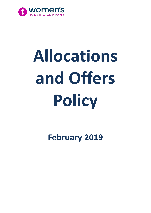

# **Allocations and Offers Policy**

**February 2019**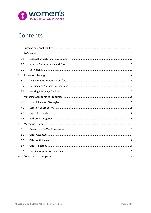

# Contents

| $\mathbf{1}$   |     |  |
|----------------|-----|--|
| $\overline{2}$ |     |  |
|                | 2.1 |  |
|                | 2.2 |  |
|                | 2.3 |  |
| 3              |     |  |
|                | 3.1 |  |
|                | 3.2 |  |
|                | 3.3 |  |
| $\overline{4}$ |     |  |
|                | 4.1 |  |
|                | 4.2 |  |
|                | 4.3 |  |
|                | 4.4 |  |
| 5              |     |  |
|                | 5.1 |  |
|                | 5.2 |  |
|                | 5.3 |  |
|                | 5.4 |  |
|                | 5.5 |  |
| 6              |     |  |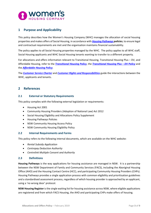

# <span id="page-2-0"></span>**1 Purpose and Applicability**

This policy describes how the Women's Housing Company (WHC) manages the allocation of social housing properties and makes offers of Social Housing, in accordance with *[Housing Pathways](https://www.facs.nsw.gov.au/housing/help/applying-assistance/housing-pathways) policies*, to ensure legal and contractual requirements are met and the organisation maintains financial sustainability.

The policy applies to all Social Housing properties managed by the WHC. The policy applies to all WHC staff, Social Housing applicants and WHC Social Housing tenants wanting to transfer to a different property.

For allocations and offers information relevant to Transitional Housing, Transitional Housing Plus – DV, and Affordable Housing, refer to the *[Transitional Housing Policy](http://www.womenshousingcompany.org.au/uploads/tenants/housing-services/Transitional-Housing-Policy---August-2018-051228.pdf)*, the *[Transitional Housing Plus –](http://www.womenshousingcompany.org.au/uploads/tenants/housing-services/Transitional-Housing-Plus-Policy---Sept-2018-004039.pdf) DV Policy* and the *[Affordable Housing Policy](http://www.womenshousingcompany.org.au/uploads/tenants/housing-services/Affordable-Housing-Policy---August-2018-051031.pdf)*.

The *[Customer Service Charter](http://www.womenshousingcompany.org.au/uploads/tenants/housing-services/Customer-Service-Charter-044752.pdf)* and *[Customer Rights and Responsibilities](http://www.womenshousingcompany.org.au/uploads/tenants/housing-services/Customer-Rights-and-Responsibilities-044804.pdf)* guide the interactions between the WHC, applicants and tenants.

# <span id="page-2-1"></span>**2 References**

#### <span id="page-2-2"></span>**2.1 External or Statutory Requirements**

This policy complies with the following external legislation or requirements:

- Housing Act 2001
- Community Housing Providers (Adoption of National Law) Act 2012
- Social Housing Eligibility and Allocations Policy Supplement
- Housing Pathways Policies
- NSW Community Housing Access Policy
- NSW Community Housing Eligibility Policy

#### <span id="page-2-3"></span>**2.2 Internal Requirements and Forms**

This policy refers to the following internal documents, which are available on the WHC website:

- *Rental Subsidy Application*
- *Centrepay Deduction Authority*
- *Centrelink Multiple Consent and Authority*

#### <span id="page-2-4"></span>**2.3 Definitions**

**Housing Pathways** is the way applications for housing assistance are managed in NSW. It is a partnership between the NSW Department of Family and Community Services (FACS), including the Aboriginal Housing Office (AHO) and the Housing Contact Centre (HCC), and participating Community Housing Providers (CHPs). Housing Pathways provides a single application process with common eligibility and prioritisation guidelines and a standardised assessment process, regardless of which housing provider is approached by an applicant, using a 'no wrong door' protocol.

**NSW Housing Register** is the single waiting list for housing assistance across NSW, where eligible applications are registered and from which FACS Housing, the AHO and participating CHPs make offers of housing.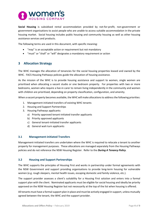

**Social Housing** is subsidised rental accommodation provided by not-for-profit, non-government or government organisations to assist people who are unable to access suitable accommodation in the private housing market. Social housing includes public housing and community housing as well as other housing assistance services and products.

The following terms are used in this document, with specific meaning:

- "may" is an acceptable action or requirement but not mandatory
- "must" or "shall" or "will" designates a mandatory requirement or action

# <span id="page-3-0"></span>**3 Allocation Strategy**

The WHC manages the allocation of tenancies for the social housing properties leased and owned by the WHC. FACS Housing Pathways policies guide the allocation of housing assistance.

As the mission of the WHC is to provide housing assistance and support to women, single women are prioritised when allocating a vacant studio or one bedroom property. For properties with two or more bedrooms, women who require a live-in carer to remain living independently in the community and women with children are prioritised, depending on property classification, configuration, and amenity.

When a vacant property becomes available, the WHC will make allocations to address the following priorities:

- 1. Management-initiated transfers of existing WHC tenants
- 2. Housing and Support Partnerships
- 3. Housing Pathways applicants:
	- a) Priority approved tenant-initiated transfer applicants
	- b) Priority approved applicants
	- c) General tenant-initiated transfer applicants
	- d) General wait-turn applicants

#### <span id="page-3-1"></span>**3.1 Management-initiated Transfers**

Management-initiated transfers are undertaken where the WHC is required to relocate a tenant to another property for management purposes. These allocations are managed separately from the Housing Pathways policies and do not reference the NSW Housing Register. Refer to the *During A Tenancy Policy*.

#### <span id="page-3-2"></span>**3.2 Housing and Support Partnerships**

The WHC supports the principles of Housing First and works in partnership under formal agreements with the NSW Government and support providing organisations to provide long-term housing for vulnerable women (e.g. rough sleepers, mental health issues, escaping domestic and family violence, etc.).

The support provider assesses a client's suitability for a Housing First solution and enters into a formal support plan with the client. Nominated applicants must be eligible for social housing and ideally be priority approved on the NSW Housing Register but not necessarily at the top of the list when housing is offered.

All tenants must have a formal support plan in place and must be actively engaged in support, unless mutually agreed between the tenant, the WHC and the support provider.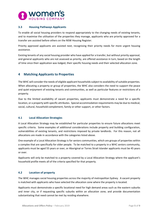

#### <span id="page-4-0"></span>**3.3 Housing Pathways Applicants**

To enable all social housing providers to respond appropriately to the changing needs of existing tenants, and to maximise the utilisation of the properties they manage, applicants who are priority approved for a transfer are assisted before others on the NSW Housing Register.

Priority approved applicants are assisted next, recognising their priority needs for more urgent housing assistance.

Existing tenants of any social housing provider who have applied for a transfer, but without priority approval, and general applicants who are not assessed as priority, are offered assistance in turn, based on the length of time since their application was lodged, their specific housing needs and their selected allocation zone.

# <span id="page-4-1"></span>**4 Matching Applicants to Properties**

The WHC will consider the needs of eligible applicant households subject to availability of suitable properties. When allocating a property or group of properties, the WHC also considers the need to support the peace and quiet enjoyment of existing tenants and communities, as well as particular features or restrictions of a property.

Due to the limited availability of vacant properties, applicants must demonstrate a need for a specific location, or a property with specific attributes. Special accommodation requirements may be due to medical, social, cultural, household complement, family or other support, or other factors.

#### <span id="page-4-2"></span>**4.1 Local Allocation Strategies**

A Local Allocation Strategy may be established for particular properties to ensure future allocations meet specific criteria. Some examples of additional considerations include property and building configuration, vulnerabilities of existing tenants, and restrictions imposed by private landlords. For this reason, not all allocations are made in accordance with the categories listed above.

One example of a Local Allocation Strategy is for seniors communities, which are groups of properties within a complex that are specifically for older people. To be matched to a property in a WHC seniors community, applicants must be aged 55 years or over, or Aboriginal or Torres Strait Islander applicants must be 45 years or over.

Applicants will only be matched to a property covered by a Local Allocation Strategy where the applicant's household profile meets all of the criteria specified for that property.

#### <span id="page-4-3"></span>**4.2 Location of property**

The WHC manages social housing properties across the majority of metropolitan Sydney. A vacant property is matched with applicants who have selected the allocation zone where the property is located.

Applicants must demonstrate a specific locational need for high demand areas such as the eastern suburbs and inner city, or if requesting specific suburbs within an allocation zone, and provide documentation substantiating that need cannot be met by residing elsewhere.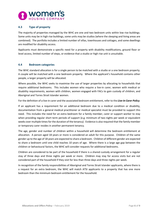

#### <span id="page-5-0"></span>**4.3 Type of property**

The majority of properties managed by the WHC are one and two bedroom units within low rise buildings. Some units may be in high rise buildings, some units may be studios (where the sleeping and living areas are combined). The portfolio includes a limited number of villas, townhouses and cottages, and some dwellings are modified for disability access.

Applicants must demonstrate a specific need for a property with disability modifications, ground floor or level access, limited number of steps, or evidence that a studio or high rise unit is unsuitable.

#### <span id="page-5-1"></span>**4.4 Bedroom categories**

The WHC standard allocation is for a single person to be matched with a studio or a one bedroom property. A couple will be matched with a one bedroom property. Where the applicant's household contains other people, a larger property will be allocated.

Where possible, the WHC seeks to maximise the use of larger properties by allocating to households that require additional bedrooms. This includes women who require a live-in carer, women with medical or disability requirements, women with children, women engaged with FACs to gain custody of children, and Aboriginal and Torres Strait Islander women.

For the definition of a live-in carer and the associated bedroom entitlement, refer to the *Live-In Carer Policy*.

If an applicant has a requirement for an additional bedroom due to a medical condition or disability, documentation from a general medical practitioner or medical specialist must be provided to support this need. This includes the need for an extra bedroom for a family member, carer or support worker to stay when providing regular short term periods of support (e.g. minimum of two nights per week or equivalent weeks over multiple times for the duration of the tenancy). Evidence is also required that the family member or temporary carer resides in another permanent tenancy.

The age, gender and number of children within a household will determine the bedroom entitlement at allocation. A person aged 18 years or more is considered an adult for this purpose. Children of the same gender up to the age of 18 years are expected to share a bedroom. Children of different gender are expected to share a bedroom until one child reaches 10 years of age. Where there is a large age gap between the children or behavioural factors, the WHC will consider requests for additional bedrooms.

Children are considered to be part of the household if there is a shared custody arrangement for a regular stay of three days and three nights per week or more. Children may stay for access visits but are not considered part of the household if they visit for less than three days and three nights per week.

In recognition of the family responsibilities of Aboriginal and Torres Strait Islander applicants, where there is a request for an extra bedroom, the WHC will match ATSI applicants to a property that has one more bedroom than the minimum bedroom entitlement for the household.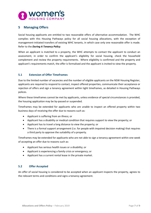

# <span id="page-6-0"></span>**5 Managing Offers**

Social housing applicants are entitled to two reasonable offers of alternative accommodation. The WHC complies with this Housing Pathways policy for all social housing allocations, with the exception of management-initiated transfers of existing WHC tenants, in which case only one reasonable offer is made. Refer to the *During A Tenancy Policy*.

When an applicant is matched to a property, the WHC attempts to contact the applicant to conduct an assessment, in order to confirm the applicant's eligibility for social housing, check the household complement and review the property requirements. Where eligibility is confirmed and the property and applicant's requirements match, the offer is formalised and the applicant is invited to view the property.

#### <span id="page-6-1"></span>**5.1 Extension of Offer Timeframes**

Due to the limited number of vacancies and the number of eligible applicants on the NSW Housing Register, applicants are required to respond to contact, inspect offered properties, communicate their acceptance or rejection of offers and sign a tenancy agreement within tight timeframes, as detailed in Housing Pathways polices.

Where these timeframes cannot be met by applicants, unless evidence of special circumstances is provided, the housing application may be by-passed or suspended.

Timeframes may be extended for applicants who are unable to inspect an offered property within two business days of receiving the offer due to reasons such as:

- Applicant is suffering from an illness; or
- Applicant has a disability or medical condition that requires support to view the property; or
- Applicant has to travel a long distance to view the property; or
- There is a formal support arrangement (i.e. for people with impaired decision making) that requires a third party to approve the suitability of a property.

Timeframes may be extended for applicants who are not able to sign a tenancy agreement within one week of accepting an offer due to reasons such as:

- Applicant has serious health issues or a disability; or
- Applicant is experiencing a family crisis or emergency; or
- Applicant has a current rental lease in the private market.

#### <span id="page-6-2"></span>**5.2 Offer Accepted**

An offer of social housing is considered to be accepted when an applicant inspects the property, agrees to the relevant terms and conditions and signs a tenancy agreement.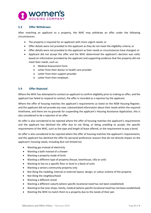

#### <span id="page-7-0"></span>**5.3 Offer Withdrawn**

After matching an applicant to a property, the WHC may withdraw an offer under the following circumstances:

- The property is required for an applicant with more urgent needs; or
- Offer details were not provided to the applicant as they do not meet the eligibility criteria; or
- Offer details were not provided to the applicant as their needs or circumstances have changed; or
- Applicant did not accept the offer and the WHC determined the applicant's decision was valid, based on information provided by the applicant and supporting evidence that the property did not meet their needs, such as:
	- o Medical Assessment Form
	- o Letter from their doctor or health care provider
	- o Letter from their support provider
	- o Letter from their employer.

#### <span id="page-7-1"></span>**5.4 Offer Rejected**

Where the WHC has attempted to contact an applicant to confirm eligibility prior to making an offer, and the applicant has failed to respond to contact, the offer is recorded as a rejection by the applicant.

Where the offer of housing matches the applicant's requirements as listed on the NSW Housing Register, and the applicant did not provide any new, substantiated information about their needs within the required timeframe, and there are no grounds for suspending the applicant's Housing Assistance Application, this is also considered to be a rejection of an offer.

An offer is also considered to be rejected where the offer of housing matches the applicant's requirements and the applicant has declined the offer due to not liking, or being unwilling to accept, the specific requirements of the WHC, such as the type and length of lease offered, or the requirement to pay a bond.

An offer is also considered to be rejected where the offer of housing matches the applicant's requirements, and the applicant has declined the offer for personal preference reasons that do not directly impact on the applicant's housing needs, including (but not limited to):

- Wanting gas instead of electricity
- Wanting a bath instead of a shower
- Wanting a property made of brick
- Wanting a different type of property (house, townhouse, villa or unit)
- Wanting to live on a specific floor or level in a block of units
- Wanting a seniors community property only
- Not liking the cladding, internal or external layout, design, or colour scheme of the property
- Not liking the neighbourhood
- Wanting a different street
- Wanting a different suburb (where specific locational need has not been established)
- Wanting to live near shops, family, medical (where specific locational need has not been established)
- Wanting the WHC to match them to a property due to the needs of their pet.